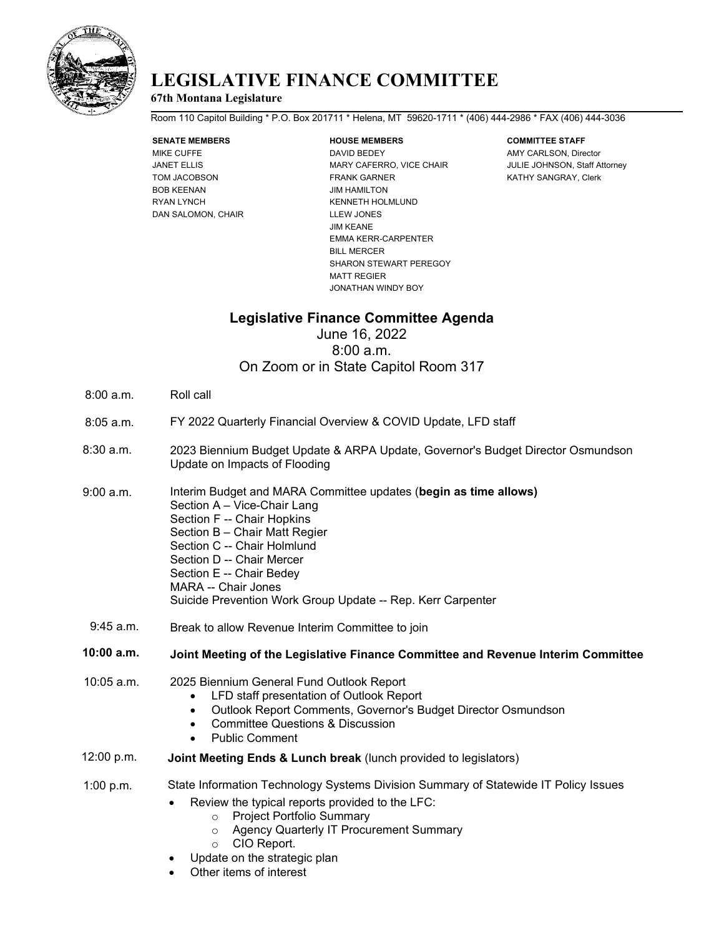

## **LEGISLATIVE FINANCE COMMITTEE**

### **67th Montana Legislature**

Room 110 Capitol Building \* P.O. Box 201711 \* Helena, MT 59620-1711 \* (406) 444-2986 \* FAX (406) 444-3036

# **SENATE MEMBERS HOUSE MEMBERS COMMITTEE STAFF**

BOB KEENAN JIM HAMILTON RYAN LYNCH KENNETH HOLMLUND DAN SALOMON, CHAIR LLEW JONES

MIKE CUFFE **DAVID BEDEY** DAVID BEDEY AMY CARLSON, Director JANET ELLIS **ELLIS** MARY CAFERRO, VICE CHAIR **JULIE JOHNSON, Staff Attorney** TOM JACOBSON FRANK GARNER KATHY SANGRAY, Clerk JIM KEANE EMMA KERR-CARPENTER BILL MERCER SHARON STEWART PEREGOY MATT REGIER JONATHAN WINDY BOY

## **Legislative Finance Committee Agenda**

June 16, 2022 8:00 a.m. On Zoom or in State Capitol Room 317

- 8:00 a.m. Roll call
- 8:05 a.m. FY 2022 Quarterly Financial Overview & COVID Update, LFD staff
- 8:30 a.m. 2023 Biennium Budget Update & ARPA Update, Governor's Budget Director Osmundson Update on Impacts of Flooding
- Interim Budget and MARA Committee updates (**begin as time allows)** Section A – Vice-Chair Lang Section F -- Chair Hopkins Section B – Chair Matt Regier Section C -- Chair Holmlund Section D -- Chair Mercer Section E -- Chair Bedey 9:00 a.m.
	- MARA -- Chair Jones
	- Suicide Prevention Work Group Update -- Rep. Kerr Carpenter
- 9:45 a.m. Break to allow Revenue Interim Committee to join

### **10:00 a.m. Joint Meeting of the Legislative Finance Committee and Revenue Interim Committee**

- 10:05 a.m. 2025 Biennium General Fund Outlook Report
	- LFD staff presentation of Outlook Report
	- Outlook Report Comments, Governor's Budget Director Osmundson
	- Committee Questions & Discussion
	- Public Comment
- 12:00 p.m. **Joint Meeting Ends & Lunch break** (lunch provided to legislators)

1:00 p.m. State Information Technology Systems Division Summary of Statewide IT Policy Issues

- Review the typical reports provided to the LFC:
	- o Project Portfolio Summary
	- o Agency Quarterly IT Procurement Summary
	- o CIO Report.
- Update on the strategic plan
- Other items of interest